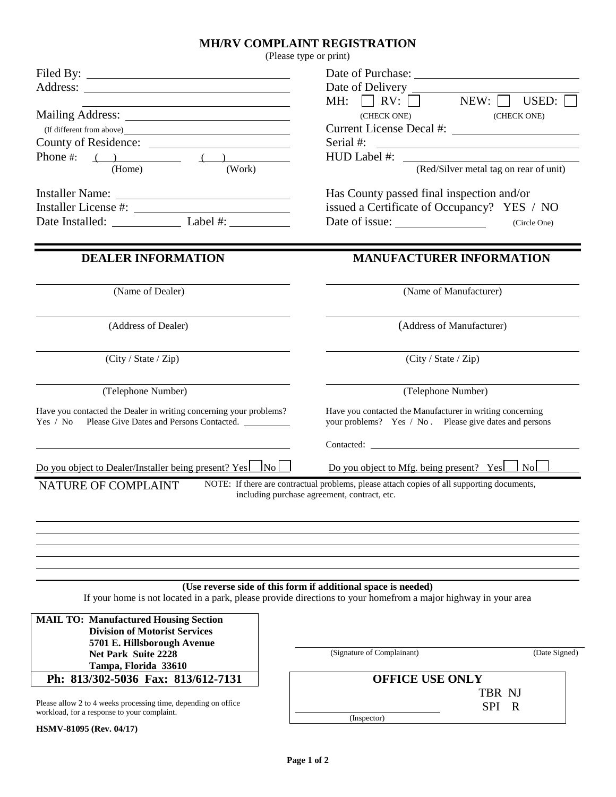## **MH/RV COMPLAINT REGISTRATION**

| (Please type or print)                                                                                                                                                                                                                                                  |                                                                                                                                                                                 |
|-------------------------------------------------------------------------------------------------------------------------------------------------------------------------------------------------------------------------------------------------------------------------|---------------------------------------------------------------------------------------------------------------------------------------------------------------------------------|
|                                                                                                                                                                                                                                                                         | Date of Delivery<br>NEW:<br>USED:<br>MH: $\vert$ $\vert$ RV: $\vert$ $\vert$<br>(CHECK ONE)<br>(CHECK ONE)                                                                      |
| (If different from above) Sales Contains a series of the state of the state of the state of the state of the state of the state of the state of the state of the state of the state of the state of the state of the state of<br>Phone #: $( )$ ( )<br>(Home)<br>(Work) | Serial #:<br><u> Territoria de la contenentación de la contenentación de la contenentación de la contenentación de la contene</u><br>(Red/Silver metal tag on rear of unit)     |
| Date Installed: Label #:                                                                                                                                                                                                                                                | Has County passed final inspection and/or<br>issued a Certificate of Occupancy? YES / NO<br>Date of issue:<br>(Circle One)                                                      |
| <b>DEALER INFORMATION</b>                                                                                                                                                                                                                                               | <b>MANUFACTURER INFORMATION</b>                                                                                                                                                 |
| (Name of Dealer)                                                                                                                                                                                                                                                        | (Name of Manufacturer)                                                                                                                                                          |
| (Address of Dealer)                                                                                                                                                                                                                                                     | (Address of Manufacturer)                                                                                                                                                       |
| (City / State / Zip)                                                                                                                                                                                                                                                    | (City / State / Zip)                                                                                                                                                            |
| (Telephone Number)                                                                                                                                                                                                                                                      | (Telephone Number)                                                                                                                                                              |
| Have you contacted the Dealer in writing concerning your problems?<br>Yes / No Please Give Dates and Persons Contacted.                                                                                                                                                 | Have you contacted the Manufacturer in writing concerning<br>your problems? Yes / No. Please give dates and persons                                                             |
| <u>Do you object to Dealer/Installer being present? Yes Nolla</u>                                                                                                                                                                                                       | <u>Do you object to Mfg. being present? Yes <math>\Box</math> No <math>\Box</math></u>                                                                                          |
| NATURE OF COMPLAINT                                                                                                                                                                                                                                                     | NOTE: If there are contractual problems, please attach copies of all supporting documents,<br>including purchase agreement, contract, etc.                                      |
|                                                                                                                                                                                                                                                                         | (Use reverse side of this form if additional space is needed)<br>If your home is not located in a park, please provide directions to your homefrom a major highway in your area |
| <b>MAIL TO: Manufactured Housing Section</b><br><b>Division of Motorist Services</b><br>5701 E. Hillsborough Avenue<br><b>Net Park Suite 2228</b><br>Tampa, Florida 33610                                                                                               | (Signature of Complainant)<br>(Date Signed)                                                                                                                                     |
| Ph: 813/302-5036 Fax: 813/612-7131                                                                                                                                                                                                                                      | <b>OFFICE USE ONLY</b>                                                                                                                                                          |
| Please allow 2 to 4 weeks processing time, depending on office<br>workload, for a response to your complaint.                                                                                                                                                           | TBR NJ<br><b>SPI</b><br>R<br>(Inspector)                                                                                                                                        |

**HSMV-81095 (Rev. 04/17)**